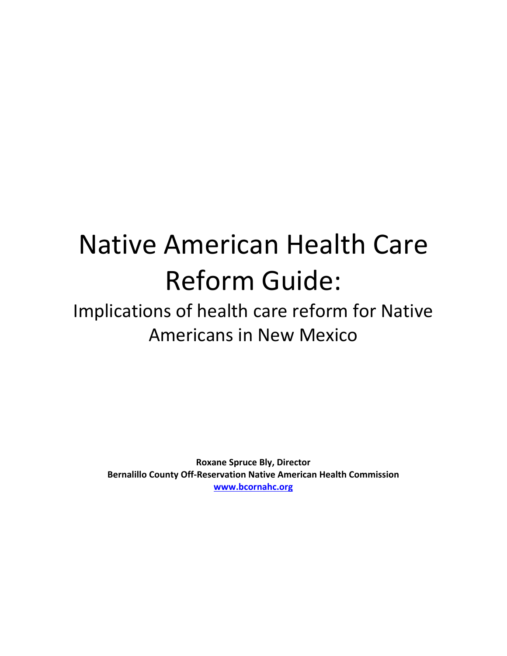# Native American Health Care Reform Guide:

## Implications of health care reform for Native Americans in!New!Mexico

**Roxane Spruce Bly, Director Bernalillo County Off-Reservation Native American Health Commission www.bcornahc.org**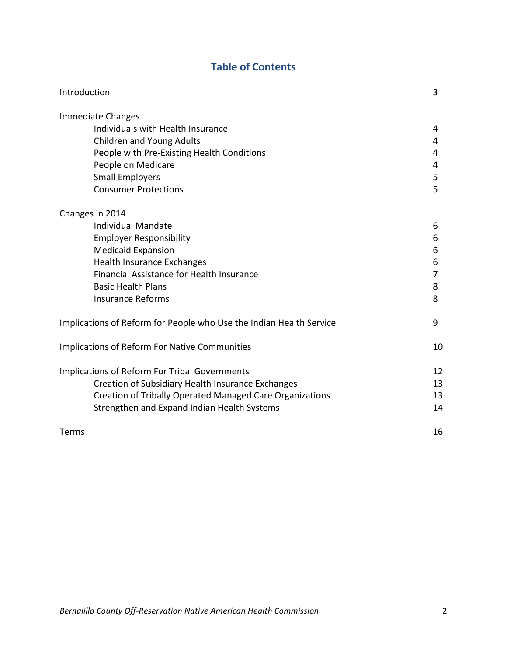## **Table of Contents**

| Introduction                                                        | 3              |
|---------------------------------------------------------------------|----------------|
| Immediate Changes                                                   |                |
| Individuals with Health Insurance                                   | 4              |
| <b>Children and Young Adults</b>                                    | 4              |
| People with Pre-Existing Health Conditions                          | 4              |
| People on Medicare                                                  | 4              |
| <b>Small Employers</b>                                              | 5              |
| <b>Consumer Protections</b>                                         | 5              |
| Changes in 2014                                                     |                |
| <b>Individual Mandate</b>                                           | 6              |
| <b>Employer Responsibility</b>                                      | 6              |
| <b>Medicaid Expansion</b>                                           | 6              |
| <b>Health Insurance Exchanges</b>                                   | 6              |
| Financial Assistance for Health Insurance                           | $\overline{7}$ |
| <b>Basic Health Plans</b>                                           | 8              |
| <b>Insurance Reforms</b>                                            | 8              |
| Implications of Reform for People who Use the Indian Health Service | 9              |
| <b>Implications of Reform For Native Communities</b>                | 10             |
| <b>Implications of Reform For Tribal Governments</b>                | 12             |
| Creation of Subsidiary Health Insurance Exchanges                   | 13             |
| Creation of Tribally Operated Managed Care Organizations            | 13             |
| Strengthen and Expand Indian Health Systems                         | 14             |
| Terms                                                               | 16             |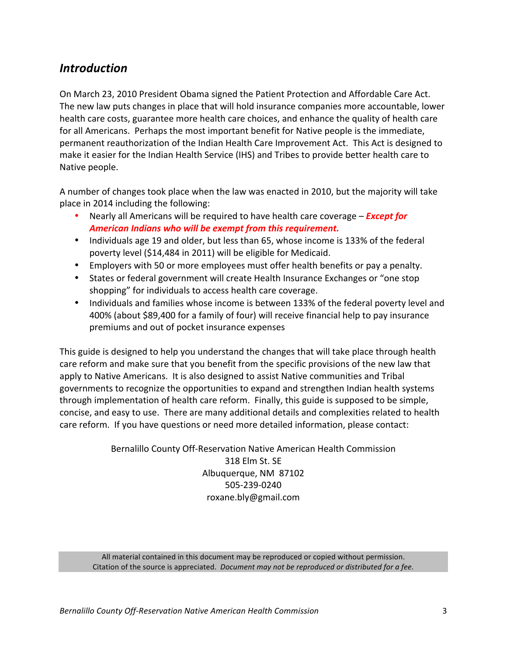## *Introduction*

On March 23, 2010 President Obama signed the Patient Protection and Affordable Care Act. The new law puts changes in place that will hold insurance companies more accountable, lower health care costs, guarantee more health care choices, and enhance the quality of health care for all Americans. Perhaps the most important benefit for Native people is the immediate, permanent reauthorization of the Indian Health Care Improvement Act. This Act is designed to make it easier for the Indian Health Service (IHS) and Tribes to provide better health care to Native people.

A number of changes took place when the law was enacted in 2010, but the majority will take place in 2014 including the following:

- **Nearly all Americans will be required to have health care coverage** *Except for* American Indians who will be exempt from this requirement.
- Individuals age 19 and older, but less than 65, whose income is 133% of the federal poverty level (\$14,484 in 2011) will be eligible for Medicaid.
- Employers with 50 or more employees must offer health benefits or pay a penalty.
- States or federal government will create Health Insurance Exchanges or "one stop" shopping" for individuals to access health care coverage.
- Individuals and families whose income is between 133% of the federal poverty level and 400% (about \$89,400 for a family of four) will receive financial help to pay insurance premiums and out of pocket insurance expenses

This guide is designed to help you understand the changes that will take place through health care reform and make sure that you benefit from the specific provisions of the new law that apply to Native Americans. It is also designed to assist Native communities and Tribal governments to recognize the opportunities to expand and strengthen Indian health systems through implementation of health care reform. Finally, this guide is supposed to be simple, concise, and easy to use. There are many additional details and complexities related to health care reform. If you have questions or need more detailed information, please contact:

> Bernalillo County Off-Reservation Native American Health Commission 318 Elm St. SE Albuquerque, NM 87102 505-239-0240 roxane.bly@gmail.com

All material contained in this document may be reproduced or copied without permission. Citation of the source is appreciated. *Document may not be reproduced or distributed for a fee.*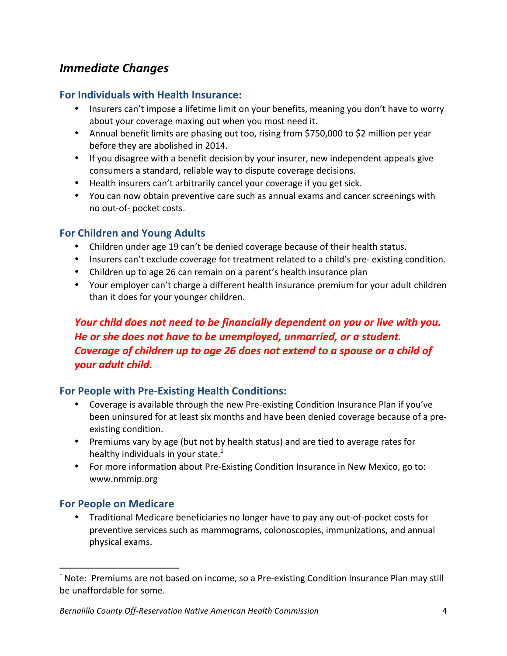## *Immediate!Changes*

#### **For'Individuals'with'Health'Insurance:**

- Insurers can't impose a lifetime limit on your benefits, meaning you don't have to worry about your coverage maxing out when you most need it.
- Annual benefit limits are phasing out too, rising from \$750,000 to \$2 million per year before they are abolished in 2014.
- If you disagree with a benefit decision by your insurer, new independent appeals give consumers a standard, reliable way to dispute coverage decisions.
- Health insurers can't arbitrarily cancel your coverage if you get sick.
- You can now obtain preventive care such as annual exams and cancer screenings with no out-of- pocket costs.

#### **For'Children'and'Young'Adults**

- Children under age 19 can't be denied coverage because of their health status.
- Insurers can't exclude coverage for treatment related to a child's pre-existing condition.
- Children up to age 26 can remain on a parent's health insurance plan
- Your employer can't charge a different health insurance premium for your adult children than it does for your younger children.

## *Your child does not need to be financially dependent on you or live with you.* He or she does not have to be unemployed, unmarried, or a student. *Coverage of children up to age 26 does not extend to a spouse or a child of your!adult!child.*

## For People with Pre-Existing Health Conditions:

- Coverage is available through the new Pre-existing Condition Insurance Plan if you've been uninsured for at least six months and have been denied coverage because of a preexisting condition.
- Premiums vary by age (but not by health status) and are tied to average rates for healthy individuals in your state.<sup>1</sup>
- For more information about Pre-Existing Condition Insurance in New Mexico, go to: www.nmmip.org

#### **For People on Medicare**

!!!!!!!!!!!!!!!!!!!!!!!!!!!!!!!!!!!!!!!!!!!!!!!!!!!!!!!!!!!!!!!!!!

• Traditional Medicare beneficiaries no longer have to pay any out-of-pocket costs for preventive services such as mammograms, colonoscopies, immunizations, and annual physical exams.

 $1$  Note: Premiums are not based on income, so a Pre-existing Condition Insurance Plan may still be unaffordable for some.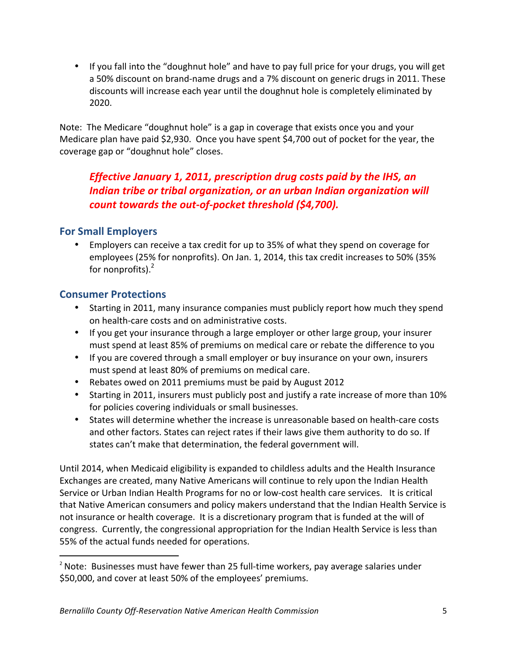• If you fall into the "doughnut hole" and have to pay full price for your drugs, you will get a 50% discount on brand-name drugs and a 7% discount on generic drugs in 2011. These discounts will increase each year until the doughnut hole is completely eliminated by 2020.

Note: The Medicare "doughnut hole" is a gap in coverage that exists once you and your Medicare plan have paid \$2,930. Once you have spent \$4,700 out of pocket for the year, the coverage gap or "doughnut hole" closes.

## *Effective January 1, 2011, prescription drug costs paid by the IHS, an* **Indian tribe or tribal organization, or an urban Indian organization will** count towards the out-of-pocket threshold (\$4,700).

## **For'Small'Employers**

• Employers can receive a tax credit for up to 35% of what they spend on coverage for employees (25% for nonprofits). On Jan. 1, 2014, this tax credit increases to 50% (35% for nonprofits). $<sup>2</sup>$ </sup>

## **Consumer Protections**

!!!!!!!!!!!!!!!!!!!!!!!!!!!!!!!!!!!!!!!!!!!!!!!!!!!!!!!!!!!!!!!!!!

- Starting in 2011, many insurance companies must publicly report how much they spend on health-care costs and on administrative costs.
- If you get your insurance through a large employer or other large group, your insurer must spend at least 85% of premiums on medical care or rebate the difference to you
- If you are covered through a small employer or buy insurance on your own, insurers must spend at least 80% of premiums on medical care.
- Rebates owed on 2011 premiums must be paid by August 2012
- Starting in 2011, insurers must publicly post and justify a rate increase of more than 10% for policies covering individuals or small businesses.
- States will determine whether the increase is unreasonable based on health-care costs and other factors. States can reject rates if their laws give them authority to do so. If states can't make that determination, the federal government will.

Until 2014, when Medicaid eligibility is expanded to childless adults and the Health Insurance Exchanges are created, many Native Americans will continue to rely upon the Indian Health Service or Urban Indian Health Programs for no or low-cost health care services. It is critical that Native American consumers and policy makers understand that the Indian Health Service is not insurance or health coverage. It is a discretionary program that is funded at the will of congress. Currently, the congressional appropriation for the Indian Health Service is less than 55% of the actual funds needed for operations.

 $2$  Note: Businesses must have fewer than 25 full-time workers, pay average salaries under \$50,000, and cover at least 50% of the employees' premiums.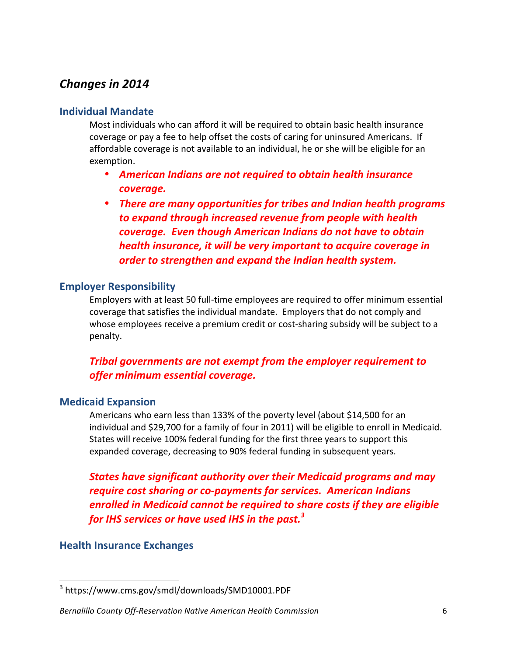## **Changes in 2014**

## **Individual'Mandate**

Most individuals who can afford it will be required to obtain basic health insurance coverage or pay a fee to help offset the costs of caring for uninsured Americans. If affordable coverage is not available to an individual, he or she will be eligible for an exemption.

- American Indians are not required to obtain health insurance *coverage.*
- There are many opportunities for tribes and Indian health programs to expand through increased revenue from people with health *coverage.!!Even!though!American!Indians!do!not!have!to!obtain! health insurance, it will be very important to acquire coverage in order to strengthen and expand the Indian health system.*

## **Employer Responsibility**

Employers with at least 50 full-time employees are required to offer minimum essential coverage that satisfies the individual mandate. Employers that do not comply and whose employees receive a premium credit or cost-sharing subsidy will be subject to a penalty.

## **Tribal governments are not exempt from the employer requirement to** *offer!minimum!essential!coverage.*

## **Medicaid'Expansion**

Americans who earn less than 133% of the poverty level (about \$14,500 for an individual and \$29,700 for a family of four in 2011) will be eligible to enroll in Medicaid. States will receive 100% federal funding for the first three years to support this expanded coverage, decreasing to 90% federal funding in subsequent years.

**States have significant authority over their Medicaid programs and may** *require cost sharing or co-payments for services. American Indians enrolled in Medicaid cannot be required to share costs if they are eligible for!IHS!services!or!have!used!IHS!in!the!past. 3*

## **Health Insurance Exchanges**

<sup>3</sup> https://www.cms.gov/smdl/downloads/SMD10001.PDF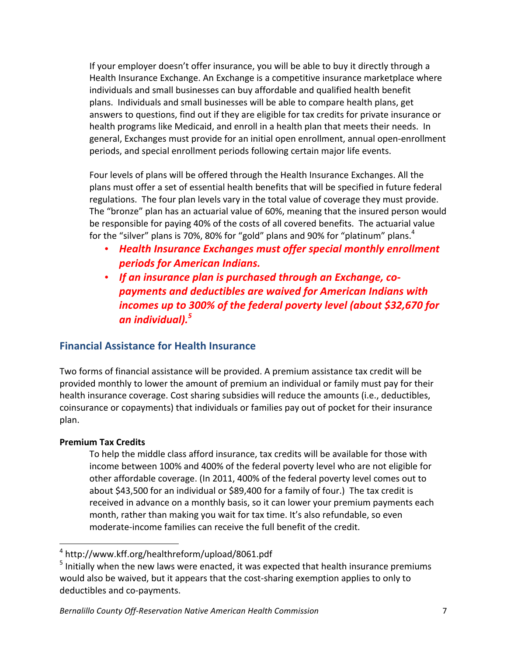If your employer doesn't offer insurance, you will be able to buy it directly through a Health Insurance Exchange. An Exchange is a competitive insurance marketplace where individuals and small businesses can buy affordable and qualified health benefit plans. Individuals and small businesses will be able to compare health plans, get answers to questions, find out if they are eligible for tax credits for private insurance or health programs like Medicaid, and enroll in a health plan that meets their needs. In general, Exchanges must provide for an initial open enrollment, annual open-enrollment periods, and special enrollment periods following certain major life events.

Four levels of plans will be offered through the Health Insurance Exchanges. All the plans must offer a set of essential health benefits that will be specified in future federal regulations. The four plan levels vary in the total value of coverage they must provide. The "bronze" plan has an actuarial value of 60%, meaning that the insured person would be responsible for paying 40% of the costs of all covered benefits. The actuarial value for the "silver" plans is 70%, 80% for "gold" plans and 90% for "platinum" plans. $4$ 

- Health Insurance Exchanges must offer special monthly enrollment *periods!for!American!Indians.*
- If an insurance plan is purchased through an Exchange, co*payments!and!deductibles!are!waived!for!American!Indians!with! incomes up to 300% of the federal poverty level (about \$32,670 for an!individual). 5*

## **Financial Assistance for Health Insurance**

Two forms of financial assistance will be provided. A premium assistance tax credit will be provided monthly to lower the amount of premium an individual or family must pay for their health insurance coverage. Cost sharing subsidies will reduce the amounts (i.e., deductibles, coinsurance or copayments) that individuals or families pay out of pocket for their insurance plan.

#### **Premium'Tax'Credits'**

!!!!!!!!!!!!!!!!!!!!!!!!!!!!!!!!!!!!!!!!!!!!!!!!!!!!!!!!!!!!!!!!!!

To help the middle class afford insurance, tax credits will be available for those with income between 100% and 400% of the federal poverty level who are not eligible for other affordable coverage. (In 2011, 400% of the federal poverty level comes out to about \$43,500 for an individual or \$89,400 for a family of four.) The tax credit is received in advance on a monthly basis, so it can lower your premium payments each month, rather than making you wait for tax time. It's also refundable, so even moderate-income families can receive the full benefit of the credit.

<sup>4</sup> http://www.kff.org/healthreform/upload/8061.pdf

 $<sup>5</sup>$  Initially when the new laws were enacted, it was expected that health insurance premiums</sup> would also be waived, but it appears that the cost-sharing exemption applies to only to deductibles and co-payments.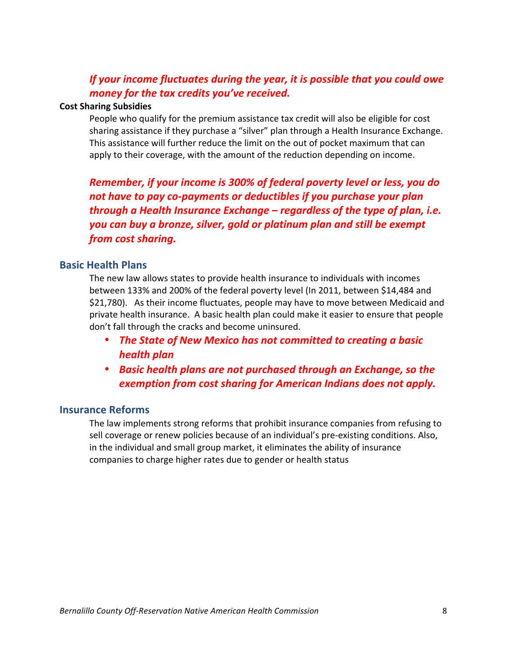## *If your income fluctuates during the year, it is possible that you could owe money for the tax credits you've received.*

#### **Cost Sharing Subsidies**

People who qualify for the premium assistance tax credit will also be eligible for cost sharing assistance if they purchase a "silver" plan through a Health Insurance Exchange. This assistance will further reduce the limit on the out of pocket maximum that can apply to their coverage, with the amount of the reduction depending on income.

**Remember, if your income is 300% of federal poverty level or less, you do** not have to pay co-payments or deductibles if you purchase your plan *through a Health Insurance Exchange – regardless of the type of plan, i.e. you!can!buy!a!bronze,!silver,!gold!or!platinum!plan!and!still!be!exempt! from!cost!sharing.*

#### **Basic Health Plans**

The new law allows states to provide health insurance to individuals with incomes between 133% and 200% of the federal poverty level (In 2011, between \$14,484 and \$21,780). As their income fluctuates, people may have to move between Medicaid and private health insurance. A basic health plan could make it easier to ensure that people don't fall through the cracks and become uninsured.

- The State of New Mexico has not committed to creating a basic *health!plan*
- Basic health plans are not purchased through an Exchange, so the *exemption from cost sharing for American Indians does not apply.*

#### **Insurance Reforms**

The law implements strong reforms that prohibit insurance companies from refusing to sell coverage or renew policies because of an individual's pre-existing conditions. Also, in the individual and small group market, it eliminates the ability of insurance companies to charge higher rates due to gender or health status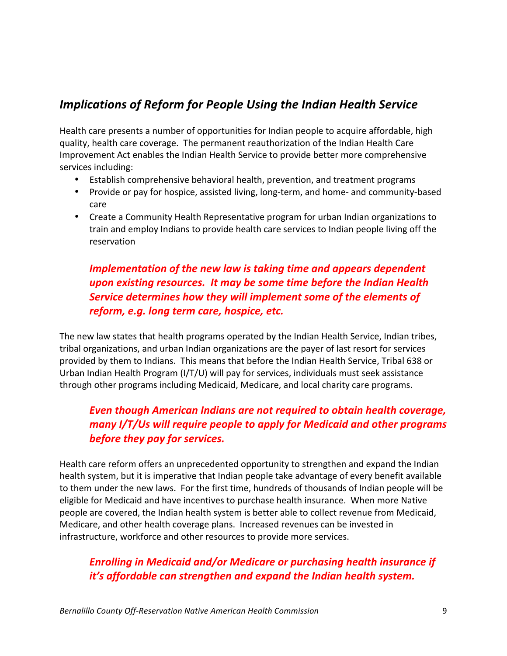## *Implications of Reform for People Using the Indian Health Service*

Health care presents a number of opportunities for Indian people to acquire affordable, high quality, health care coverage. The permanent reauthorization of the Indian Health Care Improvement Act enables the Indian Health Service to provide better more comprehensive services including:

- Establish comprehensive behavioral health, prevention, and treatment programs
- Provide or pay for hospice, assisted living, long-term, and home- and community-based care
- Create a Community Health Representative program for urban Indian organizations to train and employ Indians to provide health care services to Indian people living off the reservation

## *Implementation of the new law is taking time and appears dependent upon!existing!resources.!!It!may!be!some!time!before!the!Indian!Health* **Service determines how they will implement some of the elements of** *reform, e.g. long term care, hospice, etc.*

The new law states that health programs operated by the Indian Health Service, Indian tribes, tribal organizations, and urban Indian organizations are the payer of last resort for services provided by them to Indians. This means that before the Indian Health Service. Tribal 638 or Urban Indian Health Program (I/T/U) will pay for services, individuals must seek assistance through other programs including Medicaid, Medicare, and local charity care programs.

## *Even though American Indians are not required to obtain health coverage, many I/T/Us will require people to apply for Medicaid and other programs* **before they pay for services.**

Health care reform offers an unprecedented opportunity to strengthen and expand the Indian health system, but it is imperative that Indian people take advantage of every benefit available to them under the new laws. For the first time, hundreds of thousands of Indian people will be eligible for Medicaid and have incentives to purchase health insurance. When more Native people are covered, the Indian health system is better able to collect revenue from Medicaid, Medicare, and other health coverage plans. Increased revenues can be invested in infrastructure, workforce and other resources to provide more services.

## **Enrolling in Medicaid and/or Medicare or purchasing health insurance if** *it's affordable can strengthen and expand the Indian health system.*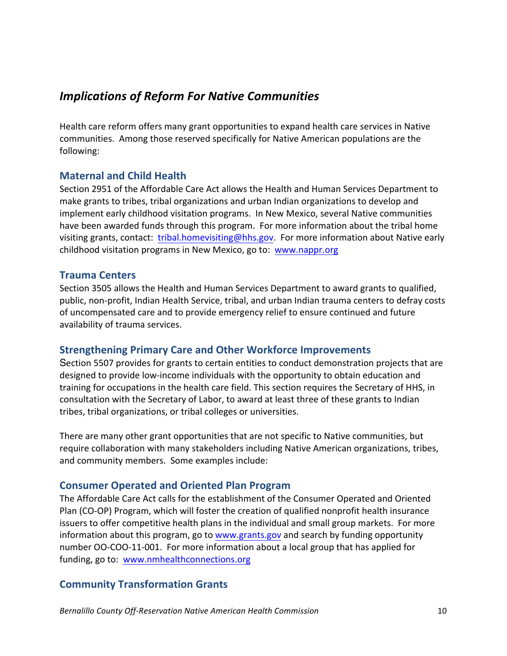## *Implications!of!Reform!For!Native!Communities*

Health care reform offers many grant opportunities to expand health care services in Native communities. Among those reserved specifically for Native American populations are the following:

## **Maternal'and'Child'Health**

Section 2951 of the Affordable Care Act allows the Health and Human Services Department to make grants to tribes, tribal organizations and urban Indian organizations to develop and implement early childhood visitation programs. In New Mexico, several Native communities have been awarded funds through this program. For more information about the tribal home visiting grants, contact: tribal.homevisiting@hhs.gov. For more information about Native early childhood visitation programs in New Mexico, go to: www.nappr.org

## **Trauma'Centers**

Section 3505 allows the Health and Human Services Department to award grants to qualified, public, non-profit, Indian Health Service, tribal, and urban Indian trauma centers to defray costs of uncompensated care and to provide emergency relief to ensure continued and future availability of trauma services.

## **Strengthening Primary Care and Other Workforce Improvements**

Section 5507 provides for grants to certain entities to conduct demonstration projects that are designed to provide low-income individuals with the opportunity to obtain education and training for occupations in the health care field. This section requires the Secretary of HHS, in consultation with the Secretary of Labor, to award at least three of these grants to Indian tribes, tribal organizations, or tribal colleges or universities.

There are many other grant opportunities that are not specific to Native communities, but require collaboration with many stakeholders including Native American organizations, tribes, and community members. Some examples include:

## **Consumer'Operated'and'Oriented'Plan'Program**

The Affordable Care Act calls for the establishment of the Consumer Operated and Oriented Plan (CO-OP) Program, which will foster the creation of qualified nonprofit health insurance issuers to offer competitive health plans in the individual and small group markets. For more information about this program, go to www.grants.gov and search by funding opportunity number OO-COO-11-001. For more information about a local group that has applied for funding, go to: www.nmhealthconnections.org

## **Community'Transformation Grants**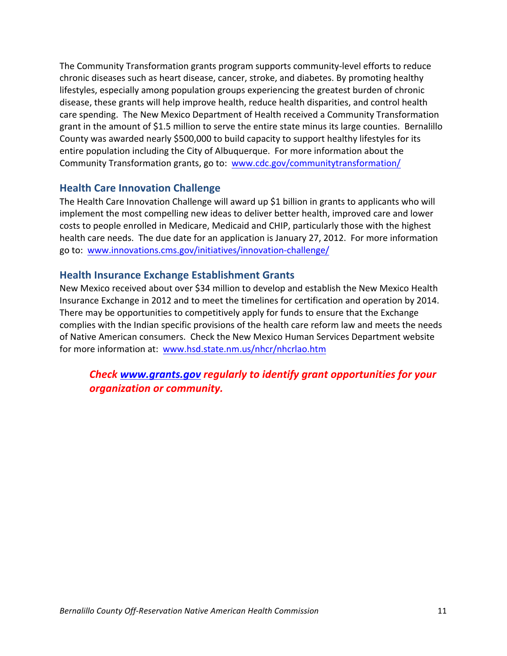The Community Transformation grants program supports community-level efforts to reduce chronic diseases such as heart disease, cancer, stroke, and diabetes. By promoting healthy lifestyles, especially among population groups experiencing the greatest burden of chronic disease, these grants will help improve health, reduce health disparities, and control health care spending. The New Mexico Department of Health received a Community Transformation grant in the amount of \$1.5 million to serve the entire state minus its large counties. Bernalillo County was awarded nearly \$500,000 to build capacity to support healthy lifestyles for its entire population including the City of Albuquerque. For more information about the Community Transformation grants, go to: www.cdc.gov/communitytransformation/

## **Health Care Innovation Challenge**

The Health Care Innovation Challenge will award up \$1 billion in grants to applicants who will implement the most compelling new ideas to deliver better health, improved care and lower costs to people enrolled in Medicare, Medicaid and CHIP, particularly those with the highest health care needs. The due date for an application is January 27, 2012. For more information go to: www.innovations.cms.gov/initiatives/innovation-challenge/

## **Health Insurance Exchange Establishment Grants**

New Mexico received about over \$34 million to develop and establish the New Mexico Health Insurance Exchange in 2012 and to meet the timelines for certification and operation by 2014. There may be opportunities to competitively apply for funds to ensure that the Exchange complies with the Indian specific provisions of the health care reform law and meets the needs of Native American consumers. Check the New Mexico Human Services Department website for more information at: www.hsd.state.nm.us/nhcr/nhcrlao.htm

*Check www.grants.gov regularly to identify grant opportunities for your organization or community.*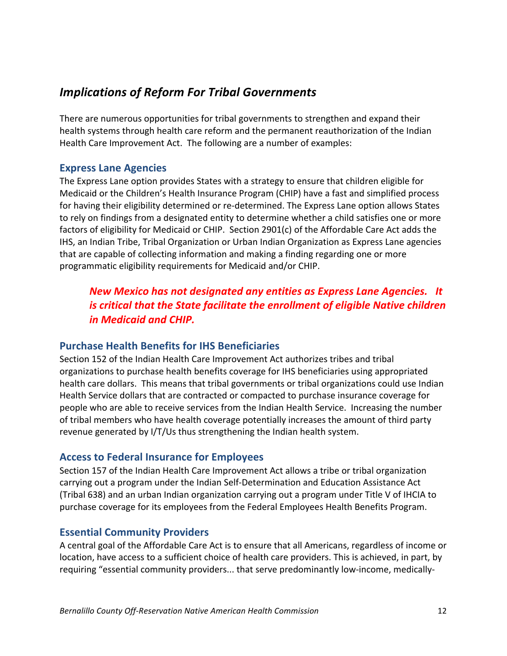## *Implications!of!Reform!For!Tribal!Governments*

There are numerous opportunities for tribal governments to strengthen and expand their health systems through health care reform and the permanent reauthorization of the Indian Health Care Improvement Act. The following are a number of examples:

#### **Express Lane Agencies**

The Express Lane option provides States with a strategy to ensure that children eligible for Medicaid or the Children's Health Insurance Program (CHIP) have a fast and simplified process for having their eligibility determined or re-determined. The Express Lane option allows States to rely on findings from a designated entity to determine whether a child satisfies one or more factors of eligibility for Medicaid or CHIP. Section 2901(c) of the Affordable Care Act adds the IHS, an Indian Tribe, Tribal Organization or Urban Indian Organization as Express Lane agencies that are capable of collecting information and making a finding regarding one or more programmatic eligibility requirements for Medicaid and/or CHIP.

## **New Mexico has not designated any entities as Express Lane Agencies. It** *is critical that the State facilitate the enrollment of eligible Native children in Medicaid and CHIP.*

#### **Purchase Health Benefits for IHS Beneficiaries**

Section 152 of the Indian Health Care Improvement Act authorizes tribes and tribal organizations to purchase health benefits coverage for IHS beneficiaries using appropriated health care dollars. This means that tribal governments or tribal organizations could use Indian Health Service dollars that are contracted or compacted to purchase insurance coverage for people who are able to receive services from the Indian Health Service. Increasing the number of tribal members who have health coverage potentially increases the amount of third party revenue generated by I/T/Us thus strengthening the Indian health system.

## Access to Federal Insurance for Employees

Section 157 of the Indian Health Care Improvement Act allows a tribe or tribal organization carrying out a program under the Indian Self-Determination and Education Assistance Act (Tribal 638) and an urban Indian organization carrying out a program under Title V of IHCIA to purchase coverage for its employees from the Federal Employees Health Benefits Program.

## **Essential Community Providers**

A central goal of the Affordable Care Act is to ensure that all Americans, regardless of income or location, have access to a sufficient choice of health care providers. This is achieved, in part, by requiring "essential community providers... that serve predominantly low-income, medically-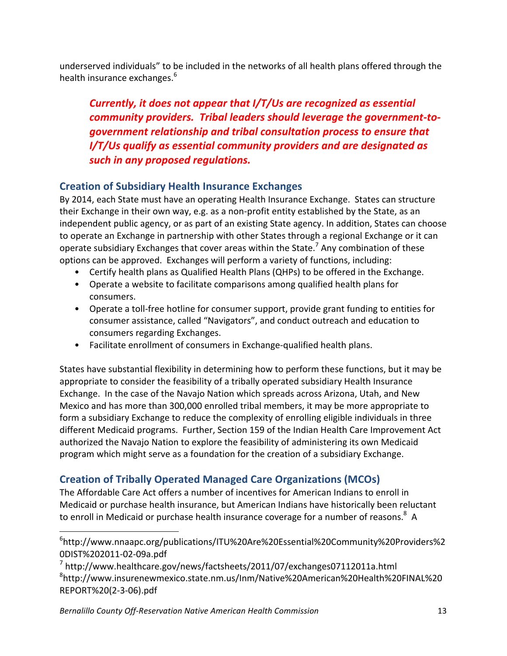underserved individuals" to be included in the networks of all health plans offered through the health insurance exchanges.<sup>6</sup>

*Currently, it does not appear that I/T/Us are recognized as essential community providers. Tribal leaders should leverage the government-togovernment!relationship!and!tribal!consultation!process!to!ensure!that! I/T/Us qualify as essential community providers and are designated as such!in!any!proposed!regulations.*

## **Creation'of'Subsidiary'Health'Insurance'Exchanges**

By 2014, each State must have an operating Health Insurance Exchange. States can structure their Exchange in their own way, e.g. as a non-profit entity established by the State, as an independent public agency, or as part of an existing State agency. In addition, States can choose to operate an Exchange in partnership with other States through a regional Exchange or it can operate subsidiary Exchanges that cover areas within the State.<sup>7</sup> Any combination of these options can be approved. Exchanges will perform a variety of functions, including:

- Certify health plans as Qualified Health Plans (QHPs) to be offered in the Exchange.
- Operate a website to facilitate comparisons among qualified health plans for consumers.
- Operate a toll-free hotline for consumer support, provide grant funding to entities for consumer assistance, called "Navigators", and conduct outreach and education to consumers regarding Exchanges.
- Facilitate enrollment of consumers in Exchange-qualified health plans.

States have substantial flexibility in determining how to perform these functions, but it may be appropriate to consider the feasibility of a tribally operated subsidiary Health Insurance Exchange. In the case of the Navajo Nation which spreads across Arizona, Utah, and New Mexico and has more than 300,000 enrolled tribal members, it may be more appropriate to form a subsidiary Exchange to reduce the complexity of enrolling eligible individuals in three different Medicaid programs. Further, Section 159 of the Indian Health Care Improvement Act authorized the Navajo Nation to explore the feasibility of administering its own Medicaid program which might serve as a foundation for the creation of a subsidiary Exchange.

## **Creation'of'Tribally'Operated'Managed'Care'Organizations'(MCOs)**

The Affordable Care Act offers a number of incentives for American Indians to enroll in Medicaid or purchase health insurance, but American Indians have historically been reluctant to enroll in Medicaid or purchase health insurance coverage for a number of reasons.<sup>8</sup> A

<sup>6</sup> http://www.nnaapc.org/publications/ITU%20Are%20Essential%20Community%20Providers%2 0DIST%202011-02-09a.pdf

 $7$  http://www.healthcare.gov/news/factsheets/2011/07/exchanges07112011a.html 8 http://www.insurenewmexico.state.nm.us/Inm/Native%20American%20Health%20FINAL%20 REPORT%20(2-3-06).pdf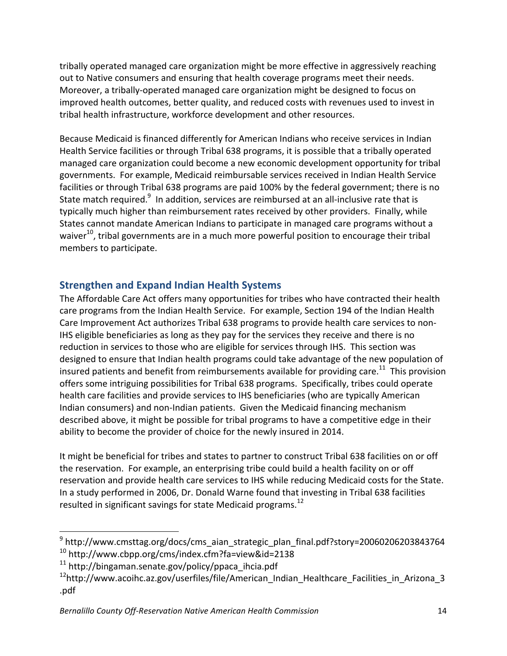tribally operated managed care organization might be more effective in aggressively reaching out to Native consumers and ensuring that health coverage programs meet their needs. Moreover, a tribally-operated managed care organization might be designed to focus on improved health outcomes, better quality, and reduced costs with revenues used to invest in tribal health infrastructure, workforce development and other resources.

Because Medicaid is financed differently for American Indians who receive services in Indian Health Service facilities or through Tribal 638 programs, it is possible that a tribally operated managed care organization could become a new economic development opportunity for tribal governments. For example, Medicaid reimbursable services received in Indian Health Service facilities or through Tribal 638 programs are paid 100% by the federal government; there is no State match required. $^9$  In addition, services are reimbursed at an all-inclusive rate that is typically much higher than reimbursement rates received by other providers. Finally, while States cannot mandate American Indians to participate in managed care programs without a waiver<sup>10</sup>, tribal governments are in a much more powerful position to encourage their tribal members to participate.

## **Strengthen'and'Expand'Indian'Health'Systems**

The Affordable Care Act offers many opportunities for tribes who have contracted their health care programs from the Indian Health Service. For example, Section 194 of the Indian Health Care Improvement Act authorizes Tribal 638 programs to provide health care services to non-IHS eligible beneficiaries as long as they pay for the services they receive and there is no reduction in services to those who are eligible for services through IHS. This section was designed to ensure that Indian health programs could take advantage of the new population of insured patients and benefit from reimbursements available for providing care.<sup>11</sup> This provision offers some intriguing possibilities for Tribal 638 programs. Specifically, tribes could operate health care facilities and provide services to IHS beneficiaries (who are typically American Indian consumers) and non-Indian patients. Given the Medicaid financing mechanism described above, it might be possible for tribal programs to have a competitive edge in their ability to become the provider of choice for the newly insured in 2014.

It might be beneficial for tribes and states to partner to construct Tribal 638 facilities on or off the reservation. For example, an enterprising tribe could build a health facility on or off reservation and provide health care services to IHS while reducing Medicaid costs for the State. In a study performed in 2006, Dr. Donald Warne found that investing in Tribal 638 facilities resulted in significant savings for state Medicaid programs.<sup>12</sup>

<sup>9</sup> http://www.cmsttag.org/docs/cms\_aian\_strategic\_plan\_final.pdf?story=20060206203843764 <sup>10</sup> http://www.cbpp.org/cms/index.cfm?fa=view&id=2138

 $11$  http://bingaman.senate.gov/policy/ppaca\_ihcia.pdf

 $12$ http://www.acoihc.az.gov/userfiles/file/American\_Indian\_Healthcare\_Facilities\_in\_Arizona\_3\_ .pdf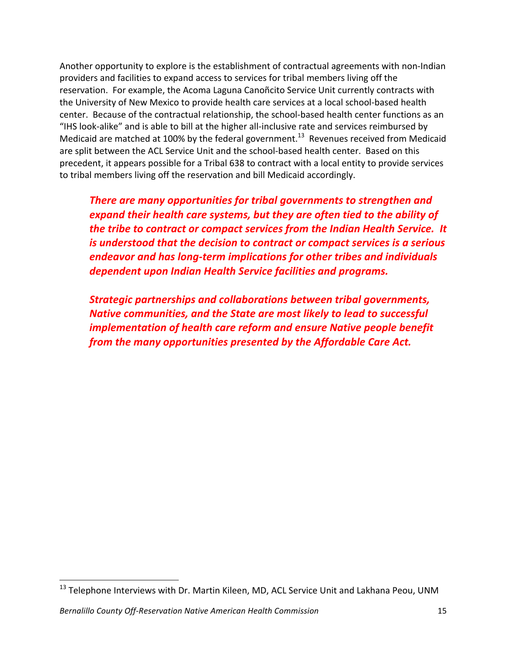Another opportunity to explore is the establishment of contractual agreements with non-Indian providers and facilities to expand access to services for tribal members living off the reservation. For example, the Acoma Laguna Canoñcito Service Unit currently contracts with the University of New Mexico to provide health care services at a local school-based health center. Because of the contractual relationship, the school-based health center functions as an "IHS look-alike" and is able to bill at the higher all-inclusive rate and services reimbursed by Medicaid are matched at 100% by the federal government.<sup>13</sup> Revenues received from Medicaid are split between the ACL Service Unit and the school-based health center. Based on this precedent, it appears possible for a Tribal 638 to contract with a local entity to provide services to tribal members living off the reservation and bill Medicaid accordingly.

**There are many opportunities for tribal governments to strengthen and** *expand their health care systems, but they are often tied to the ability of the tribe to contract or compact services from the Indian Health Service. It is understood that the decision to contract or compact services is a serious* endeavor and has long-term implications for other tribes and individuals *dependent!upon!Indian!Health!Service!facilities!and!programs.*

**Strategic partnerships and collaborations between tribal governments,** *Native communities, and the State are most likely to lead to successful implementation of health care reform and ensure Native people benefit from the many opportunities presented by the Affordable Care Act.* 

 $^{13}$  Telephone Interviews with Dr. Martin Kileen, MD, ACL Service Unit and Lakhana Peou, UNM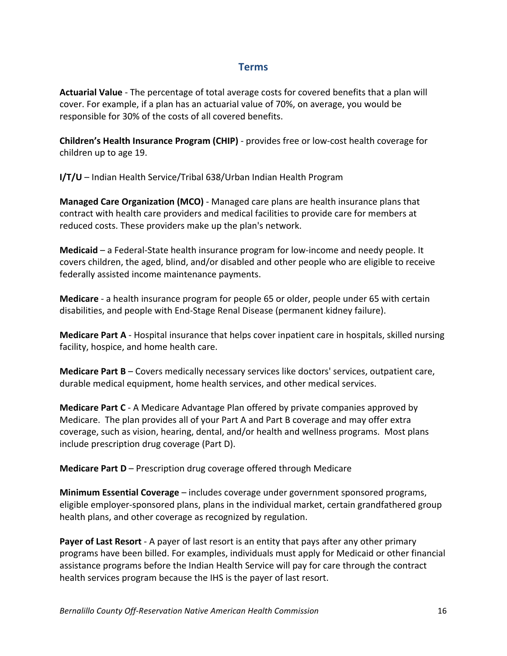#### **Terms**

Actuarial Value - The percentage of total average costs for covered benefits that a plan will cover. For example, if a plan has an actuarial value of 70%, on average, you would be responsible for 30% of the costs of all covered benefits.

**Children's Health Insurance Program (CHIP)** - provides free or low-cost health coverage for children up to age 19.

**I/T/U** – Indian Health Service/Tribal 638/Urban Indian Health Program

**Managed Care Organization (MCO)** - Managed care plans are health insurance plans that contract with health care providers and medical facilities to provide care for members at reduced costs. These providers make up the plan's network.

**Medicaid** – a Federal-State health insurance program for low-income and needy people. It covers children, the aged, blind, and/or disabled and other people who are eligible to receive federally assisted income maintenance payments.

**Medicare** - a health insurance program for people 65 or older, people under 65 with certain disabilities, and people with End-Stage Renal Disease (permanent kidney failure).

**Medicare Part A** - Hospital insurance that helps cover inpatient care in hospitals, skilled nursing facility, hospice, and home health care.

**Medicare Part B** – Covers medically necessary services like doctors' services, outpatient care, durable medical equipment, home health services, and other medical services.

**Medicare Part C** - A Medicare Advantage Plan offered by private companies approved by Medicare. The plan provides all of your Part A and Part B coverage and may offer extra coverage, such as vision, hearing, dental, and/or health and wellness programs. Most plans include prescription drug coverage (Part D).

**Medicare Part D** – Prescription drug coverage offered through Medicare

**Minimum Essential Coverage** – includes coverage under government sponsored programs, eligible employer-sponsored plans, plans in the individual market, certain grandfathered group health plans, and other coverage as recognized by regulation.

**Payer of Last Resort** - A payer of last resort is an entity that pays after any other primary programs have been billed. For examples, individuals must apply for Medicaid or other financial assistance programs before the Indian Health Service will pay for care through the contract health services program because the IHS is the payer of last resort.